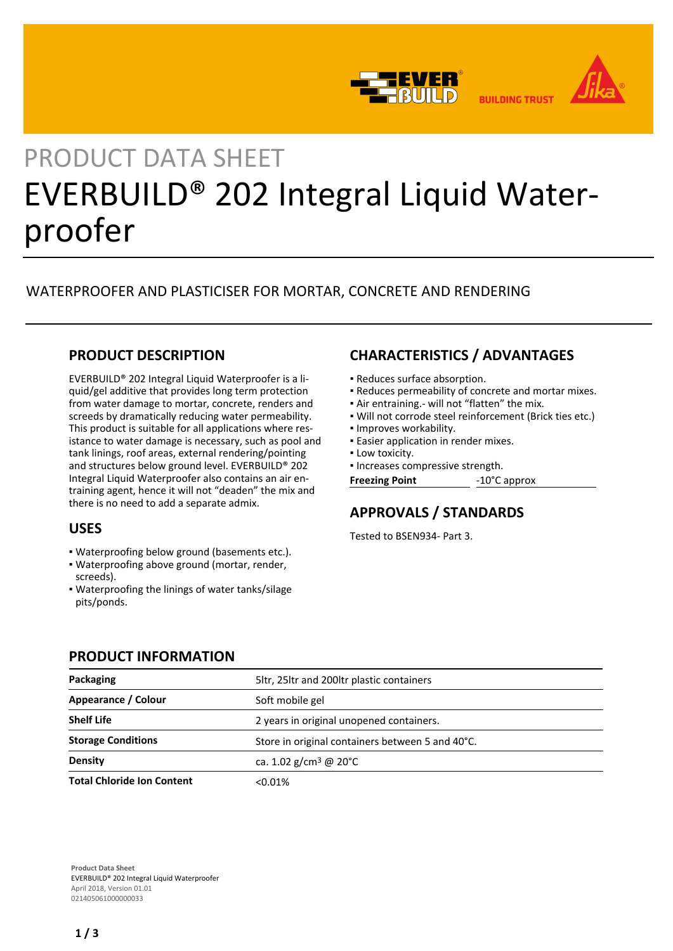

# PRODUCT DATA SHEET EVERBUILD® 202 Integral Liquid Waterproofer

# WATERPROOFER AND PLASTICISER FOR MORTAR, CONCRETE AND RENDERING

## **PRODUCT DESCRIPTION**

EVERBUILD® 202 Integral Liquid Waterproofer is a liquid/gel additive that provides long term protection from water damage to mortar, concrete, renders and screeds by dramatically reducing water permeability. This product is suitable for all applications where resistance to water damage is necessary, such as pool and tank linings, roof areas, external rendering/pointing and structures below ground level. EVERBUILD® 202 Integral Liquid Waterproofer also contains an air entraining agent, hence it will not "deaden" the mix and there is no need to add a separate admix.

## **USES**

- Waterproofing below ground (basements etc.).
- Waterproofing above ground (mortar, render, screeds).
- Waterproofing the linings of water tanks/silage pits/ponds.

# **CHARACTERISTICS / ADVANTAGES**

- Reduces surface absorption.
- Reduces permeability of concrete and mortar mixes.
- Air entraining.- will not "flatten" the mix.
- Will not corrode steel reinforcement (Brick ties etc.)
- Improves workability.
- **Easier application in render mixes.**
- **Low toxicity.**
- Increases compressive strength.

**Freezing Point -10°C** approx

# **APPROVALS / STANDARDS**

Tested to BSEN934- Part 3.

# **PRODUCT INFORMATION**

| Packaging                         | 5ltr, 25ltr and 200ltr plastic containers        |
|-----------------------------------|--------------------------------------------------|
| Appearance / Colour               | Soft mobile gel                                  |
| <b>Shelf Life</b>                 | 2 years in original unopened containers.         |
| <b>Storage Conditions</b>         | Store in original containers between 5 and 40°C. |
| Density                           | ca. 1.02 $g/cm^3$ @ 20 $^{\circ}$ C              |
| <b>Total Chloride Ion Content</b> | <0.01%                                           |

**Product Data Sheet** EVERBUILD® 202 Integral Liquid Waterproofer April 2018, Version 01.01 021405061000000033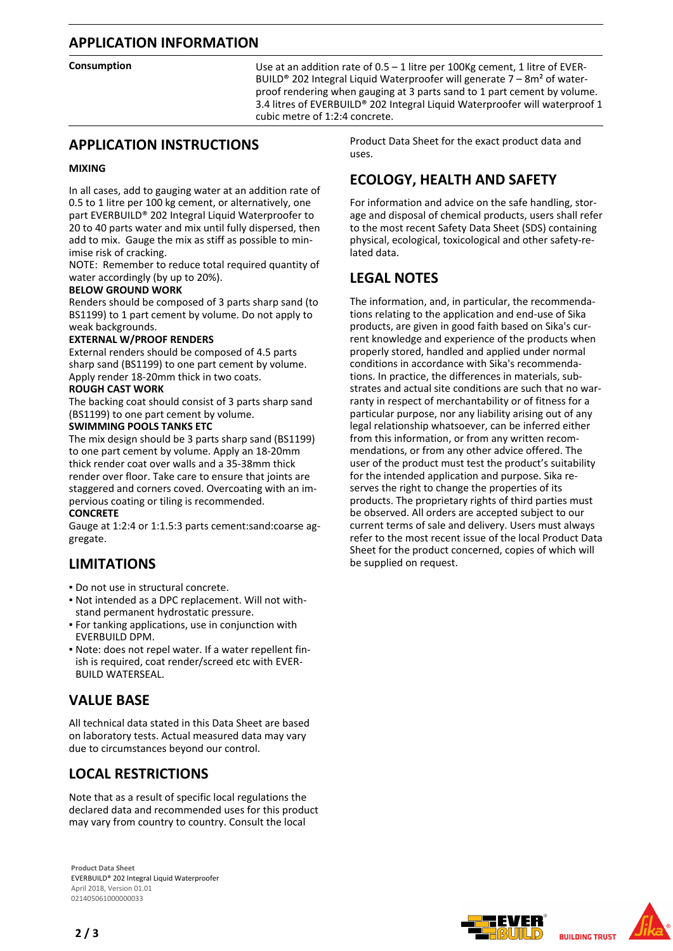## **APPLICATION INFORMATION**

**Consumption** Use at an addition rate of 0.5 – 1 litre per 100Kg cement, 1 litre of EVER-BUILD<sup>®</sup> 202 Integral Liquid Waterproofer will generate  $7 - 8m^2$  of waterproof rendering when gauging at 3 parts sand to 1 part cement by volume. 3.4 litres of EVERBUILD® 202 Integral Liquid Waterproofer will waterproof 1 cubic metre of 1:2:4 concrete.

### **APPLICATION INSTRUCTIONS**

#### **MIXING**

In all cases, add to gauging water at an addition rate of 0.5 to 1 litre per 100 kg cement, or alternatively, one part EVERBUILD® 202 Integral Liquid Waterproofer to 20 to 40 parts water and mix until fully dispersed, then add to mix. Gauge the mix as stiff as possible to minimise risk of cracking.

NOTE: Remember to reduce total required quantity of water accordingly (by up to 20%).

#### **BELOW GROUND WORK**

Renders should be composed of 3 parts sharp sand (to BS1199) to 1 part cement by volume. Do not apply to weak backgrounds.

#### **EXTERNAL W/PROOF RENDERS**

External renders should be composed of 4.5 parts sharp sand (BS1199) to one part cement by volume. Apply render 18-20mm thick in two coats.

#### **ROUGH CAST WORK**

The backing coat should consist of 3 parts sharp sand (BS1199) to one part cement by volume.

#### **SWIMMING POOLS TANKS ETC**

The mix design should be 3 parts sharp sand (BS1199) to one part cement by volume. Apply an 18-20mm thick render coat over walls and a 35-38mm thick render over floor. Take care to ensure that joints are staggered and corners coved. Overcoating with an impervious coating or tiling is recommended.

#### **CONCRETE**

Gauge at 1:2:4 or 1:1.5:3 parts cement:sand:coarse aggregate.

## **LIMITATIONS**

- Do not use in structural concrete.
- Not intended as a DPC replacement. Will not with-▪ stand permanent hydrostatic pressure.
- For tanking applications, use in conjunction with EVERBUILD DPM.
- Note: does not repel water. If a water repellent fin-▪ ish is required, coat render/screed etc with EVER-BUILD WATERSEAL.

## **VALUE BASE**

All technical data stated in this Data Sheet are based on laboratory tests. Actual measured data may vary due to circumstances beyond our control.

## **LOCAL RESTRICTIONS**

Note that as a result of specific local regulations the declared data and recommended uses for this product may vary from country to country. Consult the local

**Product Data Sheet** EVERBUILD® 202 Integral Liquid Waterproofer April 2018, Version 01.01 021405061000000033

Product Data Sheet for the exact product data and uses.

## **ECOLOGY, HEALTH AND SAFETY**

For information and advice on the safe handling, storage and disposal of chemical products, users shall refer to the most recent Safety Data Sheet (SDS) containing physical, ecological, toxicological and other safety-related data.

## **LEGAL NOTES**

The information, and, in particular, the recommendations relating to the application and end-use of Sika products, are given in good faith based on Sika's current knowledge and experience of the products when properly stored, handled and applied under normal conditions in accordance with Sika's recommendations. In practice, the differences in materials, substrates and actual site conditions are such that no warranty in respect of merchantability or of fitness for a particular purpose, nor any liability arising out of any legal relationship whatsoever, can be inferred either from this information, or from any written recommendations, or from any other advice offered. The user of the product must test the product's suitability for the intended application and purpose. Sika reserves the right to change the properties of its products. The proprietary rights of third parties must be observed. All orders are accepted subject to our current terms of sale and delivery. Users must always refer to the most recent issue of the local Product Data Sheet for the product concerned, copies of which will be supplied on request.